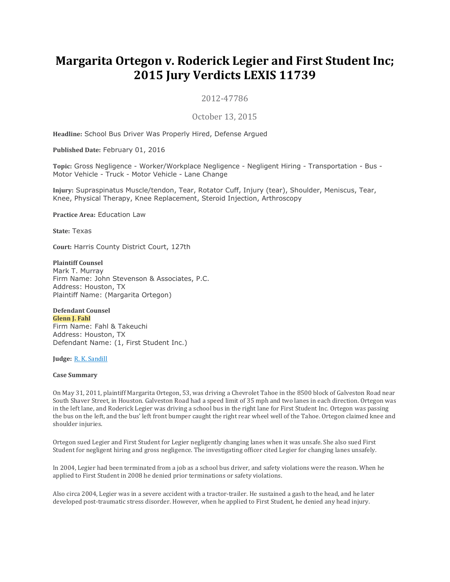# **Margarita Ortegon v. Roderick Legier and First Student Inc; 2015 Jury Verdicts LEXIS 11739**

2012-47786

October 13, 2015

**Headline:** School Bus Driver Was Properly Hired, Defense Argued

**Published Date:** February 01, 2016

**Topic:** Gross Negligence - Worker/Workplace Negligence - Negligent Hiring - Transportation - Bus - Motor Vehicle - Truck - Motor Vehicle - Lane Change

**Injury:** Supraspinatus Muscle/tendon, Tear, Rotator Cuff, Injury (tear), Shoulder, Meniscus, Tear, Knee, Physical Therapy, Knee Replacement, Steroid Injection, Arthroscopy

**Practice Area:** Education Law

**State:** Texas

**Court:** Harris County District Court, 127th

**Plaintiff Counsel** Mark T. Murray Firm Name: John Stevenson & Associates, P.C. Address: Houston, TX Plaintiff Name: (Margarita Ortegon)

#### **Defendant Counsel Glenn J. Fahl**

Firm Name: Fahl & Takeuchi Address: Houston, TX Defendant Name: (1, First Student Inc.)

**Judge:** R. K. [Sandill](https://advance.lexis.com/document/vsadocumentlever/?pdmfid=1000117&crid=930c997b-0166-4272-afaa-4114ed4db95d&pddocfullpath=%2Fshared%2Fdocument%2Fjury-verdicts-settlements%2Furn%3AcontentItem%3A5J0C-9P30-01C2-60RP-00000-00&pdcomponentid=30345&ecomp=zdLk&earg=sr7&prid=1db4fee8-7ca8-4085-a8c8-8a08975d141c)

#### **Case Summary**

On May 31, 2011, plaintiff Margarita Ortegon, 53, was driving a Chevrolet Tahoe in the 8500 block of Galveston Road near South Shaver Street, in Houston. Galveston Road had a speed limit of 35 mph and two lanes in each direction. Ortegon was in the left lane, and Roderick Legier was driving a school bus in the right lane for First Student Inc. Ortegon was passing the bus on the left, and the bus' left front bumper caught the right rear wheel well of the Tahoe. Ortegon claimed knee and shoulder injuries.

Ortegon sued Legier and First Student for Legier negligently changing lanes when it was unsafe. She also sued First Student for negligent hiring and gross negligence. The investigating officer cited Legier for changing lanes unsafely.

In 2004, Legier had been terminated from a job as a school bus driver, and safety violations were the reason. When he applied to First Student in 2008 he denied prior terminations or safety violations.

Also circa 2004, Legier was in a severe accident with a tractor-trailer. He sustained a gash to the head, and he later developed post-traumatic stress disorder. However, when he applied to First Student, he denied any head injury.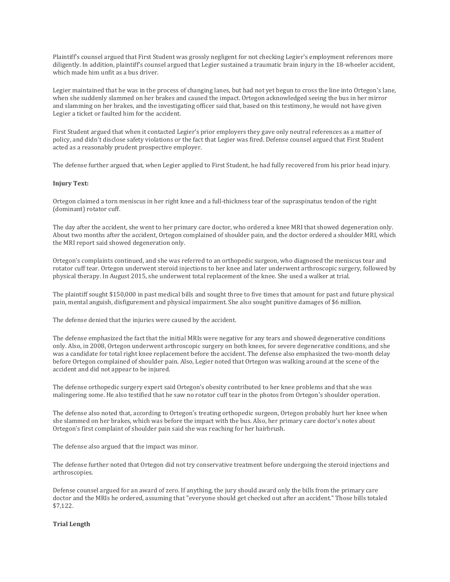Plaintiff's counsel argued that First Student was grossly negligent for not checking Legier's employment references more diligently. In addition, plaintiff's counsel argued that Legier sustained a traumatic brain injury in the 18-wheeler accident, which made him unfit as a bus driver.

Legier maintained that he was in the process of changing lanes, but had not yet begun to cross the line into Ortegon's lane, when she suddenly slammed on her brakes and caused the impact. Ortegon acknowledged seeing the bus in her mirror and slamming on her brakes, and the investigating officer said that, based on this testimony, he would not have given Legier a ticket or faulted him for the accident.

First Student argued that when it contacted Legier's prior employers they gave only neutral references as a matter of policy, and didn't disclose safety violations or the fact that Legier was fired. Defense counsel argued that First Student acted as a reasonably prudent prospective employer.

The defense further argued that, when Legier applied to First Student, he had fully recovered from his prior head injury.

#### **Injury Text:**

Ortegon claimed a torn meniscus in her right knee and a full-thickness tear of the supraspinatus tendon of the right (dominant) rotator cuff.

The day after the accident, she went to her primary care doctor, who ordered a knee MRI that showed degeneration only. About two months after the accident, Ortegon complained of shoulder pain, and the doctor ordered a shoulder MRI, which the MRI report said showed degeneration only.

Ortegon's complaints continued, and she was referred to an orthopedic surgeon, who diagnosed the meniscus tear and rotator cuff tear. Ortegon underwent steroid injections to her knee and later underwent arthroscopic surgery, followed by physical therapy. In August 2015, she underwent total replacement of the knee. She used a walker at trial.

The plaintiff sought \$150,000 in past medical bills and sought three to five times that amount for past and future physical pain, mental anguish, disfigurement and physical impairment. She also sought punitive damages of \$6 million.

The defense denied that the injuries were caused by the accident.

The defense emphasized the fact that the initial MRIs were negative for any tears and showed degenerative conditions only. Also, in 2008, Ortegon underwent arthroscopic surgery on both knees, for severe degenerative conditions, and she was a candidate for total right knee replacement before the accident. The defense also emphasized the two-month delay before Ortegon complained of shoulder pain. Also, Legier noted that Ortegon was walking around at the scene of the accident and did not appear to be injured.

The defense orthopedic surgery expert said Ortegon's obesity contributed to her knee problems and that she was malingering some. He also testified that he saw no rotator cuff tear in the photos from Ortegon's shoulder operation.

The defense also noted that, according to Ortegon's treating orthopedic surgeon, Ortegon probably hurt her knee when she slammed on her brakes, which was before the impact with the bus. Also, her primary care doctor's notes about Ortegon's first complaint of shoulder pain said she was reaching for her hairbrush.

The defense also argued that the impact was minor.

The defense further noted that Ortegon did not try conservative treatment before undergoing the steroid injections and arthroscopies.

Defense counsel argued for an award of zero. If anything, the jury should award only the bills from the primary care doctor and the MRIs he ordered, assuming that "everyone should get checked out after an accident." Those bills totaled \$7,122.

## **Trial Length**